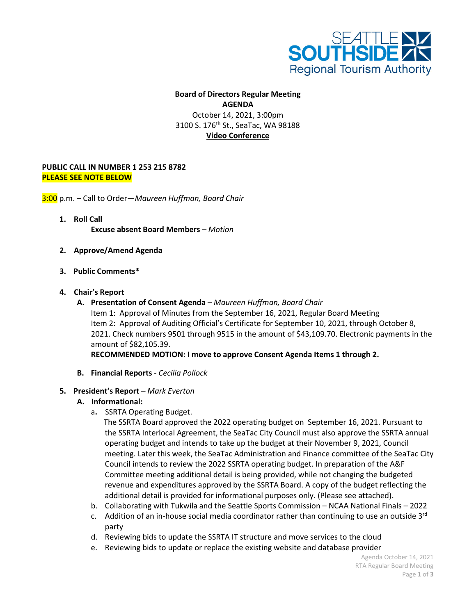

## **Board of Directors Regular Meeting AGENDA** October 14, 2021, 3:00pm 3100 S. 176<sup>th</sup> St., SeaTac, WA 98188 **Video Conference**

## **PUBLIC CALL IN NUMBER 1 253 215 8782 PLEASE SEE NOTE BELOW**

3:00 p.m. – Call to Order—*Maureen Huffman, Board Chair*

- **1. Roll Call Excuse absent Board Members** *– Motion*
- **2. Approve/Amend Agenda**
- **3. Public Comments\***
- **4. Chair's Report**
	- **A. Presentation of Consent Agenda**  *Maureen Huffman, Board Chair* Item 1: Approval of Minutes from the September 16, 2021, Regular Board Meeting Item 2: Approval of Auditing Official's Certificate for September 10, 2021, through October 8, 2021. Check numbers 9501 through 9515 in the amount of \$43,109.70. Electronic payments in the amount of \$82,105.39.

**RECOMMENDED MOTION: I move to approve Consent Agenda Items 1 through 2.**

**B. Financial Reports** *- Cecilia Pollock*

## **5. President's Report** *– Mark Everton*

- **A. Informational:**
	- a**.** SSRTA Operating Budget.

The SSRTA Board approved the 2022 operating budget on September 16, 2021. Pursuant to the SSRTA Interlocal Agreement, the SeaTac City Council must also approve the SSRTA annual operating budget and intends to take up the budget at their November 9, 2021, Council meeting. Later this week, the SeaTac Administration and Finance committee of the SeaTac City Council intends to review the 2022 SSRTA operating budget. In preparation of the A&F Committee meeting additional detail is being provided, while not changing the budgeted revenue and expenditures approved by the SSRTA Board. A copy of the budget reflecting the additional detail is provided for informational purposes only. (Please see attached).

- b. Collaborating with Tukwila and the Seattle Sports Commission NCAA National Finals 2022
- c. Addition of an in-house social media coordinator rather than continuing to use an outside  $3<sup>rd</sup>$ party
- d. Reviewing bids to update the SSRTA IT structure and move services to the cloud
- e. Reviewing bids to update or replace the existing website and database provider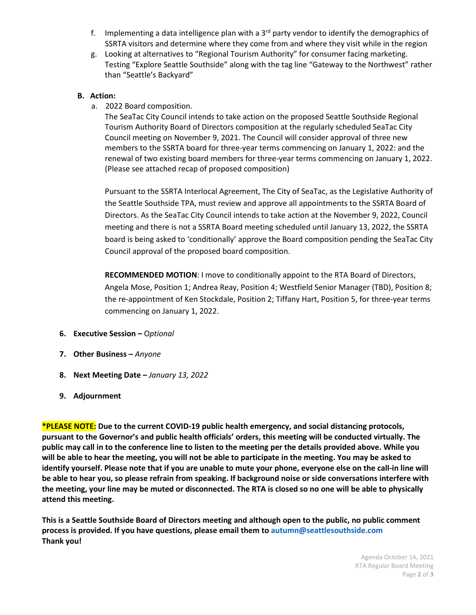- f. Implementing a data intelligence plan with a  $3<sup>rd</sup>$  party vendor to identify the demographics of SSRTA visitors and determine where they come from and where they visit while in the region
- g. Looking at alternatives to "Regional Tourism Authority" for consumer facing marketing. Testing "Explore Seattle Southside" along with the tag line "Gateway to the Northwest" rather than "Seattle's Backyard"

## **B. Action:**

a. 2022 Board composition.

The SeaTac City Council intends to take action on the proposed Seattle Southside Regional Tourism Authority Board of Directors composition at the regularly scheduled SeaTac City Council meeting on November 9, 2021. The Council will consider approval of three new members to the SSRTA board for three-year terms commencing on January 1, 2022: and the renewal of two existing board members for three-year terms commencing on January 1, 2022. (Please see attached recap of proposed composition)

Pursuant to the SSRTA Interlocal Agreement, The City of SeaTac, as the Legislative Authority of the Seattle Southside TPA, must review and approve all appointments to the SSRTA Board of Directors. As the SeaTac City Council intends to take action at the November 9, 2022, Council meeting and there is not a SSRTA Board meeting scheduled until January 13, 2022, the SSRTA board is being asked to 'conditionally' approve the Board composition pending the SeaTac City Council approval of the proposed board composition.

**RECOMMENDED MOTION**: I move to conditionally appoint to the RTA Board of Directors, Angela Mose, Position 1; Andrea Reay, Position 4; Westfield Senior Manager (TBD), Position 8; the re-appointment of Ken Stockdale, Position 2; Tiffany Hart, Position 5, for three-year terms commencing on January 1, 2022.

- **6. Executive Session –** O*ptional*
- **7. Other Business –** *Anyone*
- **8. Next Meeting Date –** *January 13, 2022*
- **9. Adjournment**

**\*PLEASE NOTE: Due to the current COVID-19 public health emergency, and social distancing protocols, pursuant to the Governor's and public health officials' orders, this meeting will be conducted virtually. The public may call in to the conference line to listen to the meeting per the details provided above. While you will be able to hear the meeting, you will not be able to participate in the meeting. You may be asked to identify yourself. Please note that if you are unable to mute your phone, everyone else on the call-in line will be able to hear you, so please refrain from speaking. If background noise or side conversations interfere with the meeting, your line may be muted or disconnected. The RTA is closed so no one will be able to physically attend this meeting.** 

**This is a Seattle Southside Board of Directors meeting and although open to the public, no public comment process is provided. If you have questions, please email them to autumn@seattlesouthside.com Thank you!**

> Agenda October 14, 2021 RTA Regular Board Meeting Page **2** of **3**